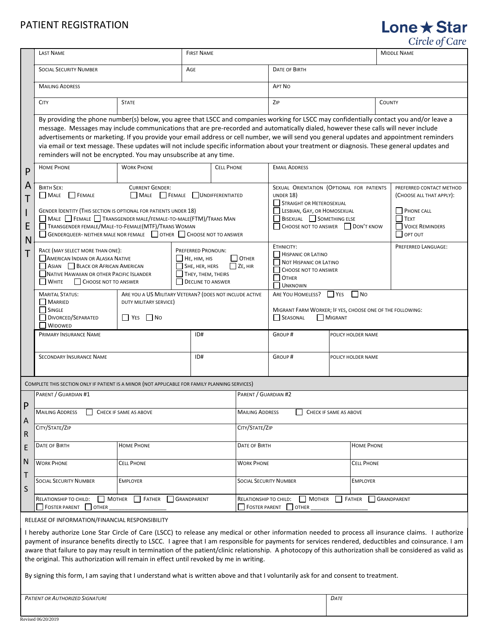# PATIENT REGISTRATION

P A T I E N T

P A R E N T S

|                  |                                                                                                                                                                                                                                                                                                                                                                                                                                                                                                                                                                                                                                                  |                                                                                                                |                                                                                                      |                                                                                                                                                                                        |                                                                                                                           |                                                                                                                               |                            | Circle of Care |
|------------------|--------------------------------------------------------------------------------------------------------------------------------------------------------------------------------------------------------------------------------------------------------------------------------------------------------------------------------------------------------------------------------------------------------------------------------------------------------------------------------------------------------------------------------------------------------------------------------------------------------------------------------------------------|----------------------------------------------------------------------------------------------------------------|------------------------------------------------------------------------------------------------------|----------------------------------------------------------------------------------------------------------------------------------------------------------------------------------------|---------------------------------------------------------------------------------------------------------------------------|-------------------------------------------------------------------------------------------------------------------------------|----------------------------|----------------|
|                  | <b>LAST NAME</b>                                                                                                                                                                                                                                                                                                                                                                                                                                                                                                                                                                                                                                 |                                                                                                                | <b>FIRST NAME</b>                                                                                    |                                                                                                                                                                                        |                                                                                                                           |                                                                                                                               | <b>MIDDLE NAME</b>         |                |
|                  | <b>SOCIAL SECURITY NUMBER</b>                                                                                                                                                                                                                                                                                                                                                                                                                                                                                                                                                                                                                    | AGE                                                                                                            |                                                                                                      |                                                                                                                                                                                        | <b>DATE OF BIRTH</b>                                                                                                      |                                                                                                                               |                            |                |
|                  | <b>MAILING ADDRESS</b>                                                                                                                                                                                                                                                                                                                                                                                                                                                                                                                                                                                                                           |                                                                                                                |                                                                                                      | <b>APT NO</b>                                                                                                                                                                          |                                                                                                                           |                                                                                                                               |                            |                |
|                  | <b>CITY</b>                                                                                                                                                                                                                                                                                                                                                                                                                                                                                                                                                                                                                                      | <b>STATE</b>                                                                                                   |                                                                                                      |                                                                                                                                                                                        | ZIP                                                                                                                       |                                                                                                                               | <b>COUNTY</b>              |                |
|                  | By providing the phone number(s) below, you agree that LSCC and companies working for LSCC may confidentially contact you and/or leave a<br>message. Messages may include communications that are pre-recorded and automatically dialed, however these calls will never include<br>advertisements or marketing. If you provide your email address or cell number, we will send you general updates and appointment reminders<br>via email or text message. These updates will not include specific information about your treatment or diagnosis. These general updates and<br>reminders will not be encrypted. You may unsubscribe at any time. |                                                                                                                |                                                                                                      |                                                                                                                                                                                        |                                                                                                                           |                                                                                                                               |                            |                |
| P                | <b>HOME PHONE</b>                                                                                                                                                                                                                                                                                                                                                                                                                                                                                                                                                                                                                                | <b>WORK PHONE</b>                                                                                              |                                                                                                      | <b>CELL PHONE</b>                                                                                                                                                                      | <b>EMAIL ADDRESS</b>                                                                                                      |                                                                                                                               |                            |                |
| A<br>T<br>E<br>N | <b>BIRTH SEX:</b><br><b>CURRENT GENDER:</b><br>$M = 1$<br>FEMALE UNDIFFERENTIATED<br>  MALE<br><b>FEMALE</b><br>GENDER IDENTITY (THIS SECTION IS OPTIONAL FOR PATIENTS UNDER 18)<br>MALE FEMALE TRANSGENDER MALE/FEMALE-TO-MALE(FTM)/TRANS MAN<br>TRANSGENDER FEMALE/MALE-TO-FEMALE(MTF)/TRANS WOMAN<br>GENDERQUEER- NEITHER MALE NOR FEMALE OTHER CHOOSE NOT TO ANSWER                                                                                                                                                                                                                                                                          |                                                                                                                |                                                                                                      | SEXUAL ORIENTATION (OPTIONAL FOR PATIENTS<br>UNDER 18)<br><b>STRAIGHT OR HETEROSEXUAL</b><br>LESBIAN, GAY, OR HOMOSEXUAL<br>BISEXUAL SOMETHING ELSE<br>CHOOSE NOT TO ANSWER DON'T KNOW |                                                                                                                           | PREFERRED CONTACT METHOD<br>(CHOOSE ALL THAT APPLY):<br><b>PHONE CALL</b><br><b>TEXT</b><br><b>VOICE REMINDERS</b><br>OPT OUT |                            |                |
| Ť                | RACE (MAY SELECT MORE THAN ONE):<br>AMERICAN INDIAN OR ALASKA NATIVE<br>$\Box$ HE, HIM, HIS<br>ASIAN BLACK OR AFRICAN AMERICAN<br>П<br>NATIVE HAWAIIAN OR OTHER PACIFIC ISLANDER<br>I WHITE<br>CHOOSE NOT TO ANSWER                                                                                                                                                                                                                                                                                                                                                                                                                              |                                                                                                                | <b>PREFERRED PRONOUN:</b><br>SHE, HER, HERS<br>$\Box$ THEY, THEM, THEIRS<br><b>DECLINE TO ANSWER</b> | $\Box$ OTHER<br>$ $ ZE, HIR                                                                                                                                                            | ETHNICITY:<br>HISPANIC OR LATINO<br>NOT HISPANIC OR LATINO<br>CHOOSE NOT TO ANSWER<br>$\Box$ OTHER<br><b>UNKNOWN</b>      |                                                                                                                               | <b>PREFERRED LANGUAGE:</b> |                |
|                  | <b>MARITAL STATUS:</b><br>MARRIED<br>  SINGLE<br>DIVORCED/SEPARATED<br><b>WIDOWED</b>                                                                                                                                                                                                                                                                                                                                                                                                                                                                                                                                                            | ARE YOU A US MILITARY VETERAN? (DOES NOT INCLUDE ACTIVE<br>DUTY MILITARY SERVICE)<br>$\vert$ $\vert$ No<br>YES |                                                                                                      |                                                                                                                                                                                        | ARE YOU HOMELESS?<br>YES<br>$\Box$ No<br>MIGRANT FARM WORKER; IF YES, CHOOSE ONE OF THE FOLLOWING:<br>SEASONAL<br>MIGRANT |                                                                                                                               |                            |                |
|                  | PRIMARY INSURANCE NAME                                                                                                                                                                                                                                                                                                                                                                                                                                                                                                                                                                                                                           |                                                                                                                | ID#                                                                                                  |                                                                                                                                                                                        | GROUP#                                                                                                                    |                                                                                                                               | POLICY HOLDER NAME         |                |
|                  | <b>SECONDARY INSURANCE NAME</b>                                                                                                                                                                                                                                                                                                                                                                                                                                                                                                                                                                                                                  |                                                                                                                | ID#                                                                                                  |                                                                                                                                                                                        | GROUP#                                                                                                                    |                                                                                                                               | POLICY HOLDER NAME         |                |
|                  | COMPLETE THIS SECTION ONLY IF PATIENT IS A MINOR (NOT APPLICABLE FOR FAMILY PLANNING SERVICES)                                                                                                                                                                                                                                                                                                                                                                                                                                                                                                                                                   |                                                                                                                |                                                                                                      |                                                                                                                                                                                        |                                                                                                                           |                                                                                                                               |                            |                |
| D                | PARENT / GUARDIAN #1                                                                                                                                                                                                                                                                                                                                                                                                                                                                                                                                                                                                                             |                                                                                                                |                                                                                                      | PARENT / GUARDIAN #2                                                                                                                                                                   |                                                                                                                           |                                                                                                                               |                            |                |
| д                | <b>MAILING ADDRESS</b><br>CHECK IF SAME AS ABOVE                                                                                                                                                                                                                                                                                                                                                                                                                                                                                                                                                                                                 |                                                                                                                |                                                                                                      | <b>MAILING ADDRESS</b><br>CHECK IF SAME AS ABOVE                                                                                                                                       |                                                                                                                           |                                                                                                                               |                            |                |
| R                | CITY/STATE/ZIP                                                                                                                                                                                                                                                                                                                                                                                                                                                                                                                                                                                                                                   |                                                                                                                |                                                                                                      |                                                                                                                                                                                        | CITY/STATE/ZIP                                                                                                            |                                                                                                                               |                            |                |
|                  | DATE OF BIRTH                                                                                                                                                                                                                                                                                                                                                                                                                                                                                                                                                                                                                                    | <b>HOME PHONE</b>                                                                                              | DATE OF BIRTH                                                                                        |                                                                                                                                                                                        | <b>HOME PHONE</b>                                                                                                         |                                                                                                                               |                            |                |
| Ń                | <b>WORK PHONE</b>                                                                                                                                                                                                                                                                                                                                                                                                                                                                                                                                                                                                                                | <b>CELL PHONE</b>                                                                                              |                                                                                                      | <b>WORK PHONE</b>                                                                                                                                                                      |                                                                                                                           | <b>CELL PHONE</b>                                                                                                             |                            |                |
|                  | <b>SOCIAL SECURITY NUMBER</b><br><b>EMPLOYER</b>                                                                                                                                                                                                                                                                                                                                                                                                                                                                                                                                                                                                 |                                                                                                                |                                                                                                      | <b>SOCIAL SECURITY NUMBER</b><br><b>EMPLOYER</b>                                                                                                                                       |                                                                                                                           |                                                                                                                               |                            |                |

RELEASE OF INFORMATION/FINANCIAL RESPONSIBILITY

RELATIONSHIP TO CHILD: MOTHER **FATHER** GRANDPARENT

I hereby authorize Lone Star Circle of Care (LSCC) to release any medical or other information needed to process all insurance claims. I authorize payment of insurance benefits directly to LSCC. I agree that I am responsible for payments for services rendered, deductibles and coinsurance. I am aware that failure to pay may result in termination of the patient/clinic relationship. A photocopy of this authorization shall be considered as valid as the original. This authorization will remain in effect until revoked by me in writing.

FOSTER PARENT OTHER

By signing this form, I am saying that I understand what is written above and that I voluntarily ask for and consent to treatment.

*PATIENT OR AUTHORIZED SIGNATURE D* 

FOSTER PARENT OTHER

RELATIONSHIP TO CHILD: MOTHER **FATHER** GRANDPARENT

Lone **★ Star**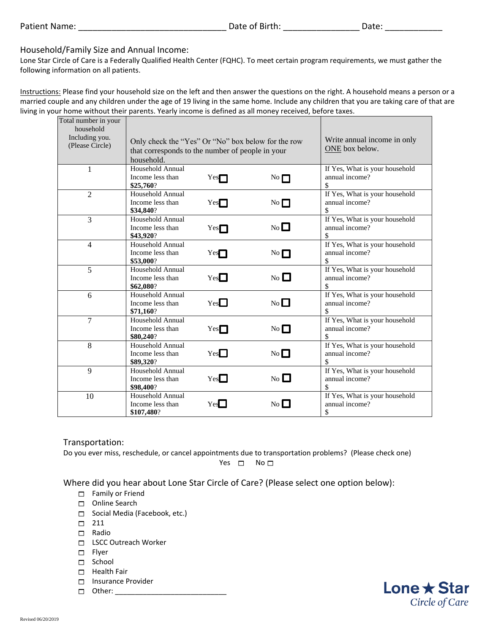# Household/Family Size and Annual Income:

Lone Star Circle of Care is a Federally Qualified Health Center (FQHC). To meet certain program requirements, we must gather the following information on all patients.

Instructions: Please find your household size on the left and then answer the questions on the right. A household means a person or a married couple and any children under the age of 19 living in the same home. Include any children that you are taking care of that are living in your home without their parents. Yearly income is defined as all money received, before taxes.

| Total number in your<br>household<br>Including you.<br>(Please Circle) | Only check the "Yes" Or "No" box below for the row<br>that corresponds to the number of people in your<br>household. |     |                | Write annual income in only<br>ONE box below.           |
|------------------------------------------------------------------------|----------------------------------------------------------------------------------------------------------------------|-----|----------------|---------------------------------------------------------|
| $\mathbf{1}$                                                           | Household Annual<br>Income less than<br>\$25,760?                                                                    | Yes | No             | If Yes, What is your household<br>annual income?<br>\$  |
| $\overline{2}$                                                         | Household Annual<br>Income less than<br>\$34,840?                                                                    | Yes | No             | If Yes, What is your household<br>annual income?<br>\$  |
| 3                                                                      | Household Annual<br>Income less than<br>\$43,920?                                                                    | Yes | No             | If Yes, What is your household<br>annual income?        |
| $\overline{4}$                                                         | Household Annual<br>Income less than<br>\$53,000?                                                                    | Yes | No             | If Yes, What is your household<br>annual income?        |
| 5                                                                      | Household Annual<br>Income less than<br>\$62,080?                                                                    | Yes | $No$ $\Box$    | If Yes, What is your household<br>annual income?<br>\$. |
| 6                                                                      | Household Annual<br>Income less than<br>\$71.160?                                                                    | Yes | No             | If Yes, What is your household<br>annual income?<br>\$. |
| 7                                                                      | Household Annual<br>Income less than<br>\$80,240?                                                                    | Yes | No             | If Yes, What is your household<br>annual income?        |
| 8                                                                      | Household Annual<br>Income less than<br>\$89,320?                                                                    | Yes | No             | If Yes, What is your household<br>annual income?        |
| 9                                                                      | Household Annual<br>Income less than<br>\$98,400?                                                                    | Yes | N <sub>0</sub> | If Yes, What is your household<br>annual income?<br>\$  |
| 10                                                                     | Household Annual<br>Income less than<br>\$107,480?                                                                   | Yes | No             | If Yes, What is your household<br>annual income?<br>\$  |

### Transportation:

Do you ever miss, reschedule, or cancel appointments due to transportation problems? (Please check one) Yes  $\Box$  No  $\Box$ 

Where did you hear about Lone Star Circle of Care? (Please select one option below):

- $\Box$  Family or Friend
- Online Search
- Social Media (Facebook, etc.)
- $\Box$  211
- $\Box$  Radio
- □ LSCC Outreach Worker
- $\Box$  Flyer
- □ School
- $\Box$  Health Fair
- $\Box$  Insurance Provider
- $\Box$  Other:

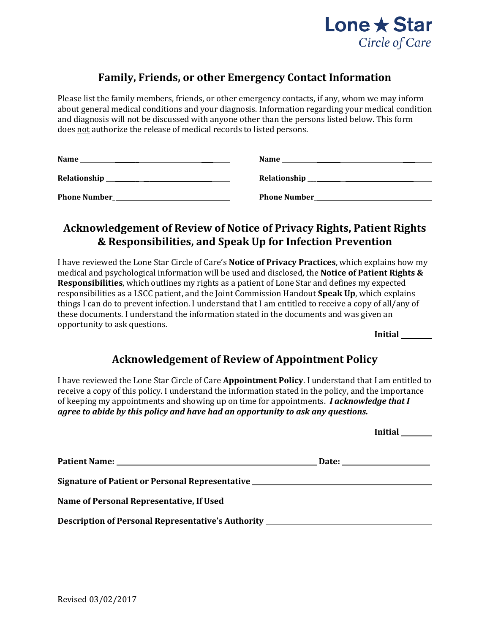

# **Family, Friends, or other Emergency Contact Information**

Please list the family members, friends, or other emergency contacts, if any, whom we may inform about general medical conditions and your diagnosis. Information regarding your medical condition and diagnosis will not be discussed with anyone other than the persons listed below. This form does not authorize the release of medical records to listed persons.

| <b>Name</b>         | <b>Name</b>                                     |
|---------------------|-------------------------------------------------|
|                     | Relationship __________________________________ |
| <b>Phone Number</b> | <b>Phone Number</b>                             |

# **Acknowledgement of Review of Notice of Privacy Rights, Patient Rights & Responsibilities, and Speak Up for Infection Prevention**

I have reviewed the Lone Star Circle of Care's **Notice of Privacy Practices**, which explains how my medical and psychological information will be used and disclosed, the **Notice of Patient Rights & Responsibilities**, which outlines my rights as a patient of Lone Star and defines my expected responsibilities as a LSCC patient, and the Joint Commission Handout **Speak Up**, which explains things I can do to prevent infection. I understand that I am entitled to receive a copy of all/any of these documents. I understand the information stated in the documents and was given an opportunity to ask questions*.*

**Initial** 

# **Acknowledgement of Review of Appointment Policy**

I have reviewed the Lone Star Circle of Care **Appointment Policy**. I understand that I am entitled to receive a copy of this policy. I understand the information stated in the policy, and the importance of keeping my appointments and showing up on time for appointments. *I acknowledge that I agree to abide by this policy and have had an opportunity to ask any questions.*

|                                                                                  |  | Initial $\equiv$ |  |
|----------------------------------------------------------------------------------|--|------------------|--|
|                                                                                  |  |                  |  |
| Signature of Patient or Personal Representative ________________________________ |  |                  |  |
|                                                                                  |  |                  |  |
| Description of Personal Representative's Authority _____________________________ |  |                  |  |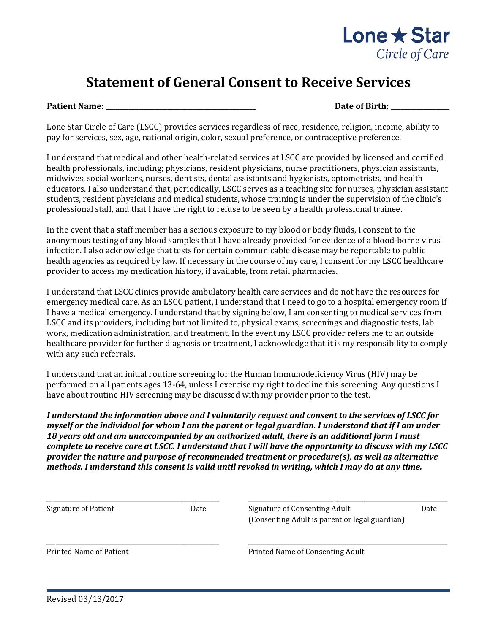

# **Statement of General Consent to Receive Services**

**Patient Name: \_\_\_\_\_\_\_\_\_\_\_\_\_\_\_\_\_\_\_\_\_\_\_\_\_\_\_\_\_\_\_\_\_\_\_\_\_\_\_\_\_\_\_\_\_\_ Date of Birth: \_\_\_\_\_\_\_\_\_\_\_\_\_\_\_\_\_\_**

Lone Star Circle of Care (LSCC) provides services regardless of race, residence, religion, income, ability to pay for services, sex, age, national origin, color, sexual preference, or contraceptive preference.

I understand that medical and other health-related services at LSCC are provided by licensed and certified health professionals, including; physicians, resident physicians, nurse practitioners, physician assistants, midwives, social workers, nurses, dentists, dental assistants and hygienists, optometrists, and health educators. I also understand that, periodically, LSCC serves as a teaching site for nurses, physician assistant students, resident physicians and medical students, whose training is under the supervision of the clinic's professional staff, and that I have the right to refuse to be seen by a health professional trainee.

In the event that a staff member has a serious exposure to my blood or body fluids, I consent to the anonymous testing of any blood samples that I have already provided for evidence of a blood-borne virus infection. I also acknowledge that tests for certain communicable disease may be reportable to public health agencies as required by law. If necessary in the course of my care, I consent for my LSCC healthcare provider to access my medication history, if available, from retail pharmacies.

I understand that LSCC clinics provide ambulatory health care services and do not have the resources for emergency medical care. As an LSCC patient, I understand that I need to go to a hospital emergency room if I have a medical emergency. I understand that by signing below, I am consenting to medical services from LSCC and its providers, including but not limited to, physical exams, screenings and diagnostic tests, lab work, medication administration, and treatment. In the event my LSCC provider refers me to an outside healthcare provider for further diagnosis or treatment, I acknowledge that it is my responsibility to comply with any such referrals.

I understand that an initial routine screening for the Human Immunodeficiency Virus (HIV) may be performed on all patients ages 13-64, unless I exercise my right to decline this screening. Any questions I have about routine HIV screening may be discussed with my provider prior to the test.

*I understand the information above and I voluntarily request and consent to the services of LSCC for myself or the individual for whom I am the parent or legal guardian. I understand that if I am under 18 years old and am unaccompanied by an authorized adult, there is an additional form I must complete to receive care at LSCC. I understand that I will have the opportunity to discuss with my LSCC provider the nature and purpose of recommended treatment or procedure(s), as well as alternative methods. I understand this consent is valid until revoked in writing, which I may do at any time.* 

| Signature of Patient<br>Date   |  | Signature of Consenting Adult<br>Date<br>(Consenting Adult is parent or legal guardian) |  |  |  |  |
|--------------------------------|--|-----------------------------------------------------------------------------------------|--|--|--|--|
| <b>Printed Name of Patient</b> |  | Printed Name of Consenting Adult                                                        |  |  |  |  |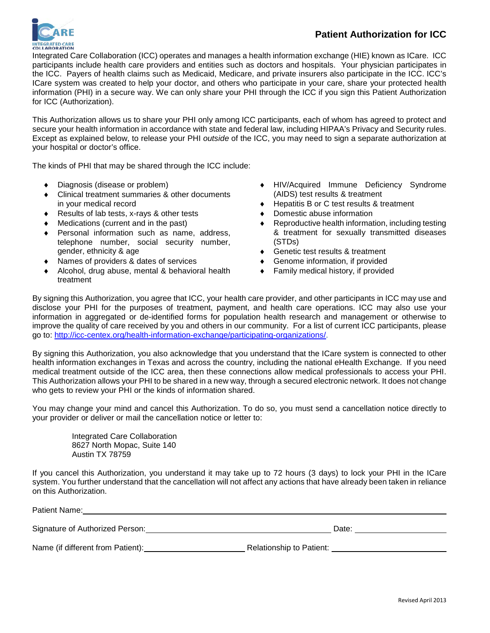

# **Patient Authorization for ICC**

Integrated Care Collaboration (ICC) operates and manages a health information exchange (HIE) known as ICare. ICC participants include health care providers and entities such as doctors and hospitals. Your physician participates in the ICC. Payers of health claims such as Medicaid, Medicare, and private insurers also participate in the ICC. ICC's ICare system was created to help your doctor, and others who participate in your care, share your protected health information (PHI) in a secure way. We can only share your PHI through the ICC if you sign this Patient Authorization for ICC (Authorization).

This Authorization allows us to share your PHI only among ICC participants, each of whom has agreed to protect and secure your health information in accordance with state and federal law, including HIPAA's Privacy and Security rules. Except as explained below, to release your PHI *outside* of the ICC, you may need to sign a separate authorization at your hospital or doctor's office.

The kinds of PHI that may be shared through the ICC include:

- ♦ Diagnosis (disease or problem)
- Clinical treatment summaries & other documents in your medical record
- ♦ Results of lab tests, x-rays & other tests
- Medications (current and in the past)
- ♦ Personal information such as name, address, telephone number, social security number, gender, ethnicity & age
- ♦ Names of providers & dates of services
- Alcohol, drug abuse, mental & behavioral health treatment
- HIV/Acquired Immune Deficiency Syndrome (AIDS) test results & treatment
- Hepatitis B or C test results & treatment
- ♦ Domestic abuse information
- Reproductive health information, including testing & treatment for sexually transmitted diseases (STDs)
- ♦ Genetic test results & treatment
- ♦ Genome information, if provided
- ♦ Family medical history, if provided

By signing this Authorization, you agree that ICC, your health care provider, and other participants in ICC may use and disclose your PHI for the purposes of treatment, payment, and health care operations. ICC may also use your information in aggregated or de-identified forms for population health research and management or otherwise to improve the quality of care received by you and others in our community. For a list of current ICC participants, please go to: [http://icc-centex.org/health-information-exchange/participating-organizations/.](http://icc-centex.org/health-information-exchange/participating-organizations/)

By signing this Authorization, you also acknowledge that you understand that the ICare system is connected to other health information exchanges in Texas and across the country, including the national eHealth Exchange. If you need medical treatment outside of the ICC area, then these connections allow medical professionals to access your PHI. This Authorization allows your PHI to be shared in a new way, through a secured electronic network. It does not change who gets to review your PHI or the kinds of information shared.

You may change your mind and cancel this Authorization. To do so, you must send a cancellation notice directly to your provider or deliver or mail the cancellation notice or letter to:

Integrated Care Collaboration 8627 North Mopac, Suite 140 Austin TX 78759

If you cancel this Authorization, you understand it may take up to 72 hours (3 days) to lock your PHI in the ICare system. You further understand that the cancellation will not affect any actions that have already been taken in reliance on this Authorization.

| Patient Name:                     |                                 |  |  |  |
|-----------------------------------|---------------------------------|--|--|--|
| Signature of Authorized Person:   | Date:                           |  |  |  |
| Name (if different from Patient): | <b>Relationship to Patient:</b> |  |  |  |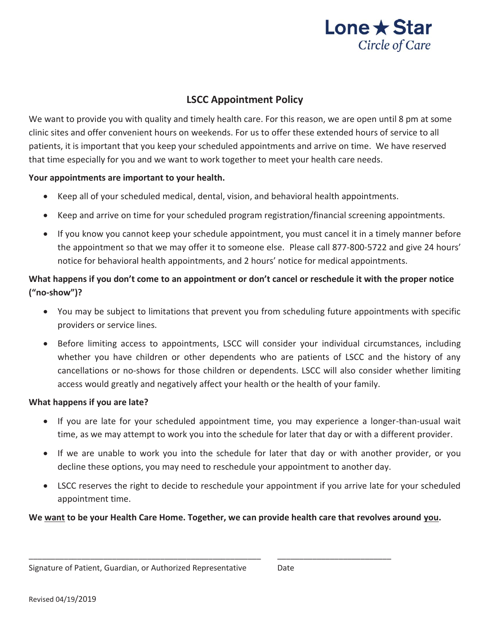

# **LSCC Appointment Policy**

We want to provide you with quality and timely health care. For this reason, we are open until 8 pm at some clinic sites and offer convenient hours on weekends. For us to offer these extended hours of service to all patients, it is important that you keep your scheduled appointments and arrive on time. We have reserved that time especially for you and we want to work together to meet your health care needs.

# **Your appointments are important to your health.**

- x Keep all of your scheduled medical, dental, vision, and behavioral health appointments.
- x Keep and arrive on time for your scheduled program registration/financial screening appointments.
- If you know you cannot keep your schedule appointment, you must cancel it in a timely manner before the appointment so that we may offer it to someone else. Please call 877-800-5722 and give 24 hours' notice for behavioral health appointments, and 2 hours' notice for medical appointments.

# **What happens if you don't come to an appointment or don't cancel or reschedule it with the proper notice ("no-show")?**

- You may be subject to limitations that prevent you from scheduling future appointments with specific providers or service lines.
- Before limiting access to appointments, LSCC will consider your individual circumstances, including whether you have children or other dependents who are patients of LSCC and the history of any cancellations or no-shows for those children or dependents. LSCC will also consider whether limiting access would greatly and negatively affect your health or the health of your family.

# **What happens if you are late?**

- If you are late for your scheduled appointment time, you may experience a longer-than-usual wait time, as we may attempt to work you into the schedule for later that day or with a different provider.
- If we are unable to work you into the schedule for later that day or with another provider, or you decline these options, you may need to reschedule your appointment to another day.
- LSCC reserves the right to decide to reschedule your appointment if you arrive late for your scheduled appointment time.

**We want to be your Health Care Home. Together, we can provide health care that revolves around you.** 

\_\_\_\_\_\_\_\_\_\_\_\_\_\_\_\_\_\_\_\_\_\_\_\_\_\_\_\_\_\_\_\_\_\_\_\_\_\_\_\_\_\_\_\_\_\_\_\_\_\_\_\_\_ \_\_\_\_\_\_\_\_\_\_\_\_\_\_\_\_\_\_\_\_\_\_\_\_\_\_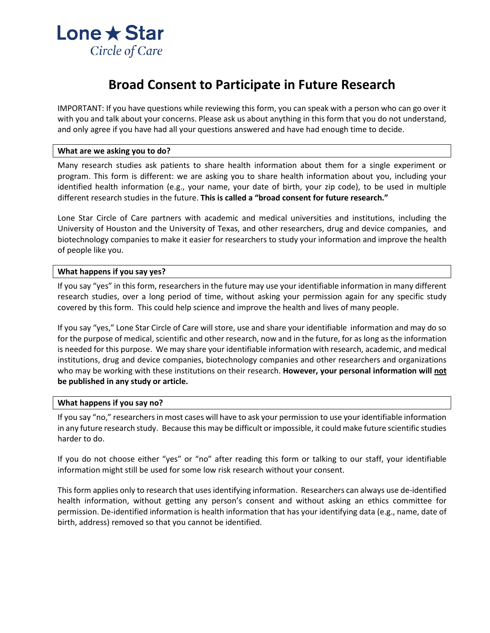

# **Broad Consent to Participate in Future Research**

IMPORTANT: If you have questions while reviewing this form, you can speak with a person who can go over it with you and talk about your concerns. Please ask us about anything in this form that you do not understand, and only agree if you have had all your questions answered and have had enough time to decide.

#### **What are we asking you to do?**

Many research studies ask patients to share health information about them for a single experiment or program. This form is different: we are asking you to share health information about you, including your identified health information (e.g., your name, your date of birth, your zip code), to be used in multiple different research studies in the future. **This is called a "broad consent for future research."**

Lone Star Circle of Care partners with academic and medical universities and institutions, including the University of Houston and the University of Texas, and other researchers, drug and device companies, and biotechnology companies to make it easier for researchers to study your information and improve the health of people like you.

#### **What happens if you say yes?**

If you say "yes" in this form, researchers in the future may use your identifiable information in many different research studies, over a long period of time, without asking your permission again for any specific study covered by this form. This could help science and improve the health and lives of many people.

If you say "yes," Lone Star Circle of Care will store, use and share your identifiable information and may do so for the purpose of medical, scientific and other research, now and in the future, for as long as the information is needed for this purpose. We may share your identifiable information with research, academic, and medical institutions, drug and device companies, biotechnology companies and other researchers and organizations who may be working with these institutions on their research. **However, your personal information will not be published in any study or article.**

#### **What happens if you say no?**

If you say "no," researchers in most cases will have to ask your permission to use your identifiable information in any future research study. Because this may be difficult or impossible, it could make future scientific studies harder to do.

If you do not choose either "yes" or "no" after reading this form or talking to our staff, your identifiable information might still be used for some low risk research without your consent.

This form applies only to research that uses identifying information. Researchers can always use de-identified health information, without getting any person's consent and without asking an ethics committee for permission. De-identified information is health information that has your identifying data (e.g., name, date of birth, address) removed so that you cannot be identified.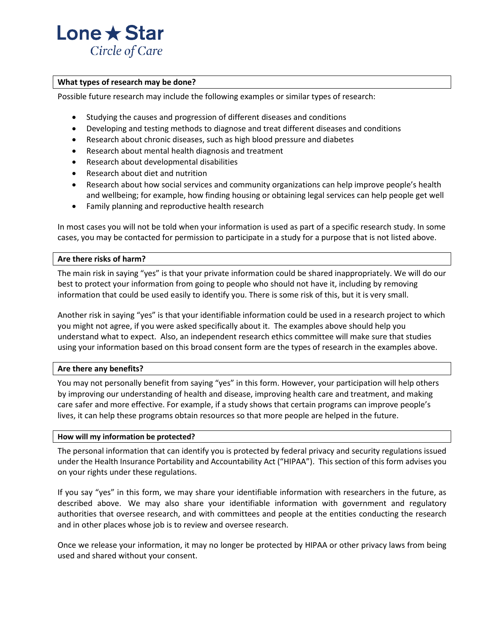

#### **What types of research may be done?**

Possible future research may include the following examples or similar types of research:

- Studying the causes and progression of different diseases and conditions
- Developing and testing methods to diagnose and treat different diseases and conditions
- Research about chronic diseases, such as high blood pressure and diabetes
- Research about mental health diagnosis and treatment
- Research about developmental disabilities
- Research about diet and nutrition
- Research about how social services and community organizations can help improve people's health and wellbeing; for example, how finding housing or obtaining legal services can help people get well
- Family planning and reproductive health research

In most cases you will not be told when your information is used as part of a specific research study. In some cases, you may be contacted for permission to participate in a study for a purpose that is not listed above.

### **Are there risks of harm?**

The main risk in saying "yes" is that your private information could be shared inappropriately. We will do our best to protect your information from going to people who should not have it, including by removing information that could be used easily to identify you. There is some risk of this, but it is very small.

Another risk in saying "yes" is that your identifiable information could be used in a research project to which you might not agree, if you were asked specifically about it. The examples above should help you understand what to expect. Also, an independent research ethics committee will make sure that studies using your information based on this broad consent form are the types of research in the examples above.

### **Are there any benefits?**

You may not personally benefit from saying "yes" in this form. However, your participation will help others by improving our understanding of health and disease, improving health care and treatment, and making care safer and more effective. For example, if a study shows that certain programs can improve people's lives, it can help these programs obtain resources so that more people are helped in the future.

#### **How will my information be protected?**

The personal information that can identify you is protected by federal privacy and security regulations issued under the Health Insurance Portability and Accountability Act ("HIPAA"). This section of this form advises you on your rights under these regulations.

If you say "yes" in this form, we may share your identifiable information with researchers in the future, as described above. We may also share your identifiable information with government and regulatory authorities that oversee research, and with committees and people at the entities conducting the research and in other places whose job is to review and oversee research.

Once we release your information, it may no longer be protected by HIPAA or other privacy laws from being used and shared without your consent.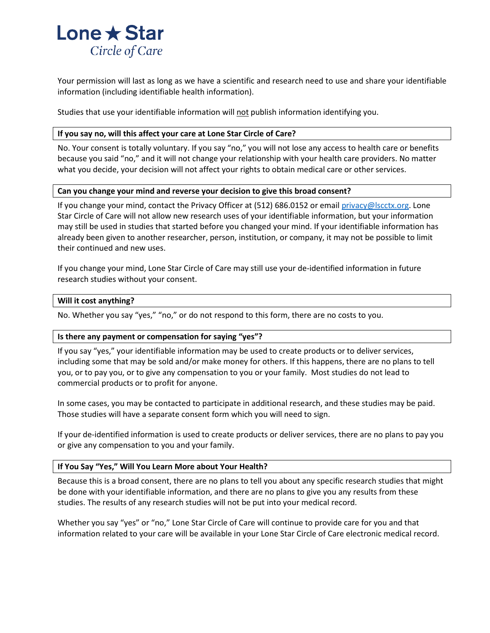

Your permission will last as long as we have a scientific and research need to use and share your identifiable information (including identifiable health information).

Studies that use your identifiable information will not publish information identifying you.

### **If you say no, will this affect your care at Lone Star Circle of Care?**

No. Your consent is totally voluntary. If you say "no," you will not lose any access to health care or benefits because you said "no," and it will not change your relationship with your health care providers. No matter what you decide, your decision will not affect your rights to obtain medical care or other services.

### **Can you change your mind and reverse your decision to give this broad consent?**

If you change your mind, contact the Privacy Officer at (512) 686.0152 or email [privacy@lscctx.org.](mailto:privacy@lscctx.org) Lone Star Circle of Care will not allow new research uses of your identifiable information, but your information may still be used in studies that started before you changed your mind. If your identifiable information has already been given to another researcher, person, institution, or company, it may not be possible to limit their continued and new uses.

If you change your mind, Lone Star Circle of Care may still use your de-identified information in future research studies without your consent.

### **Will it cost anything?**

No. Whether you say "yes," "no," or do not respond to this form, there are no costs to you.

### **Is there any payment or compensation for saying "yes"?**

If you say "yes," your identifiable information may be used to create products or to deliver services, including some that may be sold and/or make money for others. If this happens, there are no plans to tell you, or to pay you, or to give any compensation to you or your family. Most studies do not lead to commercial products or to profit for anyone.

In some cases, you may be contacted to participate in additional research, and these studies may be paid. Those studies will have a separate consent form which you will need to sign.

If your de-identified information is used to create products or deliver services, there are no plans to pay you or give any compensation to you and your family.

### **If You Say "Yes," Will You Learn More about Your Health?**

Because this is a broad consent, there are no plans to tell you about any specific research studies that might be done with your identifiable information, and there are no plans to give you any results from these studies. The results of any research studies will not be put into your medical record.

Whether you say "yes" or "no," Lone Star Circle of Care will continue to provide care for you and that information related to your care will be available in your Lone Star Circle of Care electronic medical record.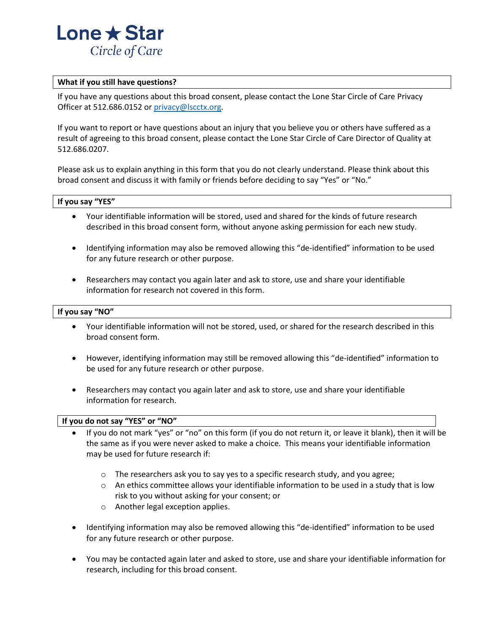

#### **What if you still have questions?**

If you have any questions about this broad consent, please contact the Lone Star Circle of Care Privacy Officer at 512.686.0152 or [privacy@lscctx.org.](mailto:privacy@lscctx.org)

If you want to report or have questions about an injury that you believe you or others have suffered as a result of agreeing to this broad consent, please contact the Lone Star Circle of Care Director of Quality at 512.686.0207.

Please ask us to explain anything in this form that you do not clearly understand. Please think about this broad consent and discuss it with family or friends before deciding to say "Yes" or "No."

#### **If you say "YES"**

- Your identifiable information will be stored, used and shared for the kinds of future research described in this broad consent form, without anyone asking permission for each new study.
- Identifying information may also be removed allowing this "de-identified" information to be used for any future research or other purpose.
- Researchers may contact you again later and ask to store, use and share your identifiable information for research not covered in this form.

#### **If you say "NO"**

- Your identifiable information will not be stored, used, or shared for the research described in this broad consent form.
- However, identifying information may still be removed allowing this "de-identified" information to be used for any future research or other purpose.
- Researchers may contact you again later and ask to store, use and share your identifiable information for research.

#### **If you do not say "YES" or "NO"**

- If you do not mark "yes" or "no" on this form (if you do not return it, or leave it blank), then it will be the same as if you were never asked to make a choice. This means your identifiable information may be used for future research if:
	- $\circ$  The researchers ask you to say yes to a specific research study, and you agree;
	- $\circ$  An ethics committee allows your identifiable information to be used in a study that is low risk to you without asking for your consent; or
	- o Another legal exception applies.
- Identifying information may also be removed allowing this "de-identified" information to be used for any future research or other purpose.
- You may be contacted again later and asked to store, use and share your identifiable information for research, including for this broad consent.